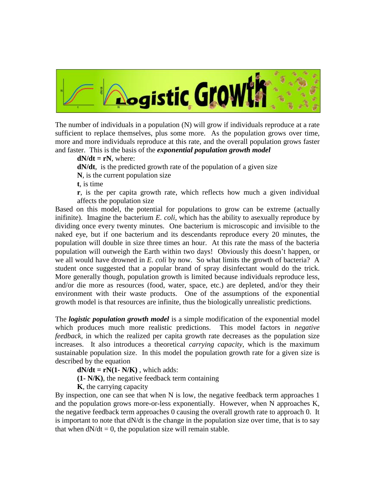

The number of individuals in a population (N) will grow if individuals reproduce at a rate sufficient to replace themselves, plus some more. As the population grows over time, more and more individuals reproduce at this rate, and the overall population grows faster and faster. This is the basis of the *exponential population growth model*

 $dN/dt = rN$ , where:

**dN/dt**, is the predicted growth rate of the population of a given size

**N**, is the current population size

**t**, is time

**r**, is the per capita growth rate, which reflects how much a given individual affects the population size

Based on this model, the potential for populations to grow can be extreme (actually inifinite). Imagine the bacterium *E. coli*, which has the ability to asexually reproduce by dividing once every twenty minutes. One bacterium is microscopic and invisible to the naked eye, but if one bacterium and its descendants reproduce every 20 minutes, the population will double in size three times an hour. At this rate the mass of the bacteria population will outweigh the Earth within two days! Obviously this doesn't happen, or we all would have drowned in *E. coli* by now. So what limits the growth of bacteria? A student once suggested that a popular brand of spray disinfectant would do the trick. More generally though, population growth is limited because individuals reproduce less, and/or die more as resources (food, water, space, etc.) are depleted, and/or they their environment with their waste products. One of the assumptions of the exponential growth model is that resources are infinite, thus the biologically unrealistic predictions.

The *logistic population growth model* is a simple modification of the exponential model which produces much more realistic predictions. This model factors in *negative feedback,* in which the realized per capita growth rate decreases as the population size increases. It also introduces a theoretical *carrying capacity*, which is the maximum sustainable population size. In this model the population growth rate for a given size is described by the equation

 $dN/dt = rN(1 - N/K)$ , which adds:

**(1- N/K)**, the negative feedback term containing

**K**, the carrying capacity

By inspection, one can see that when N is low, the negative feedback term approaches 1 and the population grows more-or-less exponentially. However, when N approaches K, the negative feedback term approaches 0 causing the overall growth rate to approach 0. It is important to note that  $dN/dt$  is the change in the population size over time, that is to say that when  $dN/dt = 0$ , the population size will remain stable.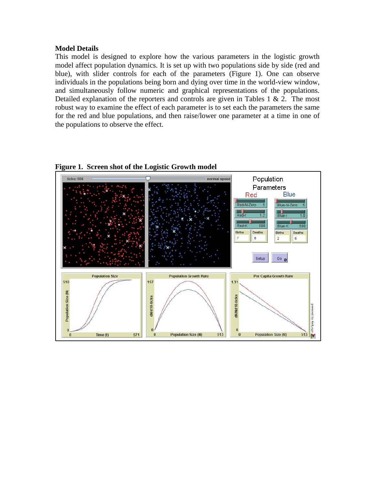## **Model Details**

This model is designed to explore how the various parameters in the logistic growth model affect population dynamics. It is set up with two populations side by side (red and blue), with slider controls for each of the parameters (Figure 1). One can observe individuals in the populations being born and dying over time in the world-view window, and simultaneously follow numeric and graphical representations of the populations. Detailed explanation of the reporters and controls are given in Tables 1  $\&$  2. The most robust way to examine the effect of each parameter is to set each the parameters the same for the red and blue populations, and then raise/lower one parameter at a time in one of the populations to observe the effect.

**Figure 1. Screen shot of the Logistic Growth model**